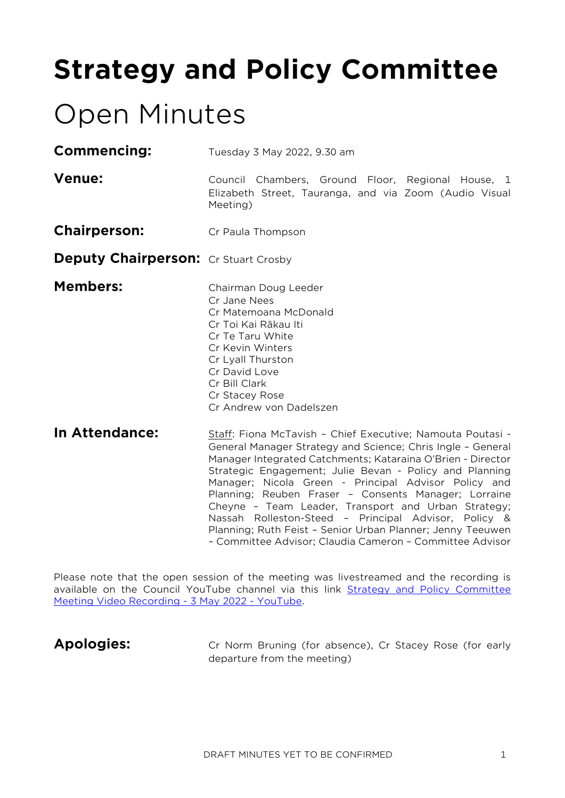# **Strategy and Policy Committee**

## Open Minutes

- Commencing: Tuesday 3 May 2022, 9.30 am
- **Venue:** Council Chambers, Ground Floor, Regional House, 1 Elizabeth Street, Tauranga, and via Zoom (Audio Visual Meeting)
- **Chairperson:** Cr Paula Thompson
- **Deputy Chairperson:** Cr Stuart Crosby
- **Members:** Chairman Doug Leeder Cr Jane Nees Cr Matemoana McDonald Cr Toi Kai Rākau Iti Cr Te Taru White Cr Kevin Winters Cr Lyall Thurston Cr David Love Cr Bill Clark Cr Stacey Rose Cr Andrew von Dadelszen
- **In Attendance:** Staff: Fiona McTavish Chief Executive; Namouta Poutasi -General Manager Strategy and Science; Chris Ingle – General Manager Integrated Catchments; Kataraina O'Brien - Director Strategic Engagement; Julie Bevan - Policy and Planning Manager; Nicola Green - Principal Advisor Policy and Planning; Reuben Fraser – Consents Manager; Lorraine Cheyne – Team Leader, Transport and Urban Strategy; Nassah Rolleston-Steed – Principal Advisor, Policy & Planning; Ruth Feist – Senior Urban Planner; Jenny Teeuwen – Committee Advisor; Claudia Cameron – Committee Advisor

Please note that the open session of the meeting was livestreamed and the recording is available on the Council YouTube channel via this link [Strategy and Policy Committee](https://www.youtube.com/watch?v=ClWP_Eui3Lc)  [Meeting Video Recording -](https://www.youtube.com/watch?v=ClWP_Eui3Lc) 3 May 2022 - YouTube.

Apologies: Cr Norm Bruning (for absence), Cr Stacey Rose (for early departure from the meeting)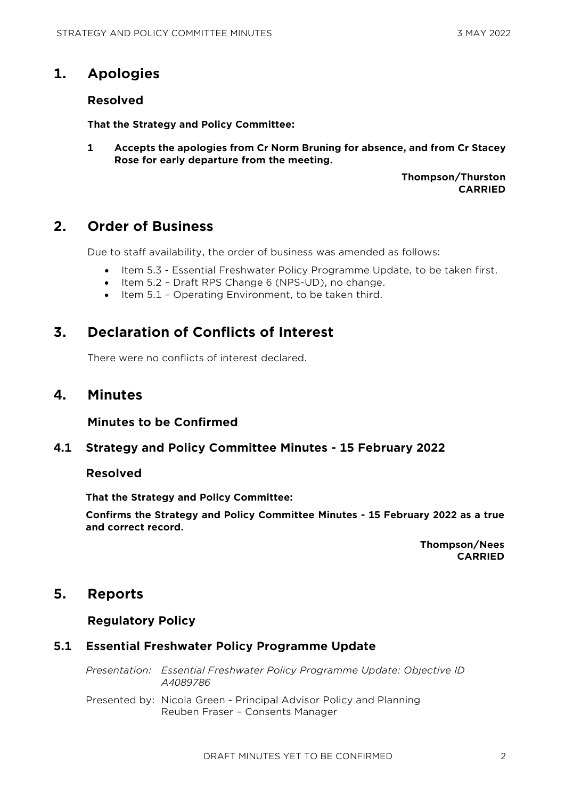## **1. Apologies**

#### **Resolved**

**That the Strategy and Policy Committee:**

**1 Accepts the apologies from Cr Norm Bruning for absence, and from Cr Stacey Rose for early departure from the meeting.**

> **Thompson/Thurston CARRIED**

## **2. Order of Business**

Due to staff availability, the order of business was amended as follows:

- Item 5.3 Essential Freshwater Policy Programme Update, to be taken first.
- Item 5.2 Draft RPS Change 6 (NPS-UD), no change.
- Item 5.1 Operating Environment, to be taken third.

## **3. Declaration of Conflicts of Interest**

There were no conflicts of interest declared.

## **4. Minutes**

#### **Minutes to be Confirmed**

#### **4.1 Strategy and Policy Committee Minutes - 15 February 2022**

#### **Resolved**

**That the Strategy and Policy Committee:**

**Confirms the Strategy and Policy Committee Minutes - 15 February 2022 as a true and correct record.**

> **Thompson/Nees CARRIED**

## **5. Reports**

#### **Regulatory Policy**

#### **5.1 Essential Freshwater Policy Programme Update**

*Presentation: Essential Freshwater Policy Programme Update: Objective ID A4089786* 

Presented by: Nicola Green - Principal Advisor Policy and Planning Reuben Fraser – Consents Manager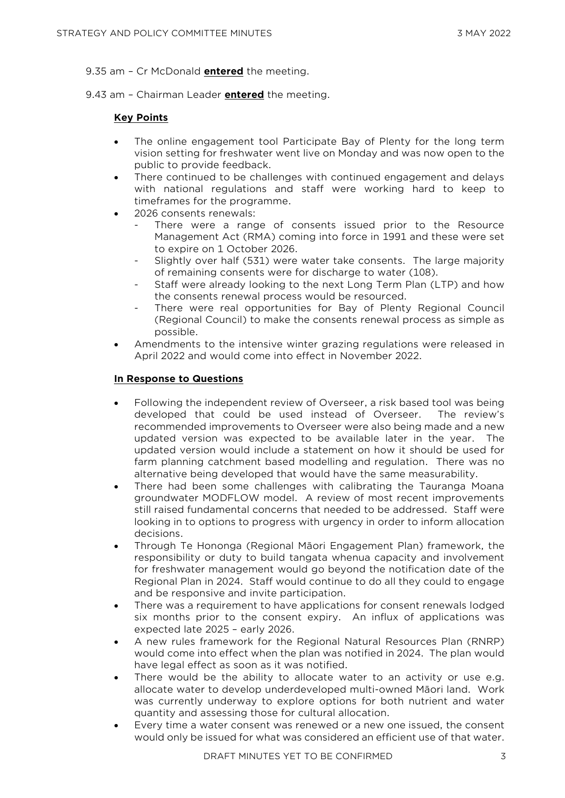9.35 am – Cr McDonald **entered** the meeting.

9.43 am – Chairman Leader **entered** the meeting.

#### **Key Points**

- The online engagement tool Participate Bay of Plenty for the long term vision setting for freshwater went live on Monday and was now open to the public to provide feedback.
- There continued to be challenges with continued engagement and delays with national regulations and staff were working hard to keep to timeframes for the programme.
- 2026 consents renewals:
	- There were a range of consents issued prior to the Resource Management Act (RMA) coming into force in 1991 and these were set to expire on 1 October 2026.
	- Slightly over half (531) were water take consents. The large majority of remaining consents were for discharge to water (108).
	- Staff were already looking to the next Long Term Plan (LTP) and how the consents renewal process would be resourced.
	- There were real opportunities for Bay of Plenty Regional Council (Regional Council) to make the consents renewal process as simple as possible.
- Amendments to the intensive winter grazing regulations were released in April 2022 and would come into effect in November 2022.

#### **In Response to Questions**

- Following the independent review of Overseer, a risk based tool was being developed that could be used instead of Overseer. The review's recommended improvements to Overseer were also being made and a new updated version was expected to be available later in the year. The updated version would include a statement on how it should be used for farm planning catchment based modelling and regulation. There was no alternative being developed that would have the same measurability.
- There had been some challenges with calibrating the Tauranga Moana groundwater MODFLOW model. A review of most recent improvements still raised fundamental concerns that needed to be addressed. Staff were looking in to options to progress with urgency in order to inform allocation decisions.
- Through Te Hononga (Regional Māori Engagement Plan) framework, the responsibility or duty to build tangata whenua capacity and involvement for freshwater management would go beyond the notification date of the Regional Plan in 2024. Staff would continue to do all they could to engage and be responsive and invite participation.
- There was a requirement to have applications for consent renewals lodged six months prior to the consent expiry. An influx of applications was expected late 2025 – early 2026.
- A new rules framework for the Regional Natural Resources Plan (RNRP) would come into effect when the plan was notified in 2024. The plan would have legal effect as soon as it was notified.
- There would be the ability to allocate water to an activity or use e.g. allocate water to develop underdeveloped multi-owned Māori land. Work was currently underway to explore options for both nutrient and water quantity and assessing those for cultural allocation.
- Every time a water consent was renewed or a new one issued, the consent would only be issued for what was considered an efficient use of that water.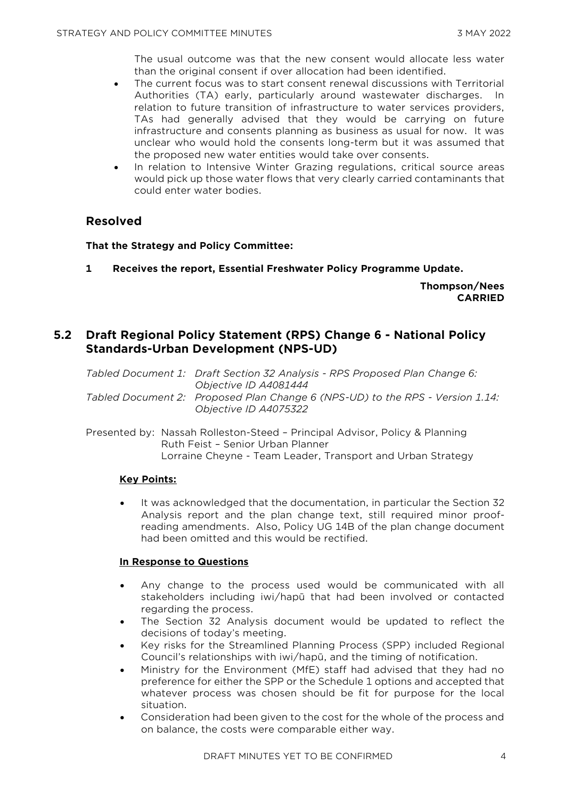The usual outcome was that the new consent would allocate less water than the original consent if over allocation had been identified.

- The current focus was to start consent renewal discussions with Territorial Authorities (TA) early, particularly around wastewater discharges. In relation to future transition of infrastructure to water services providers, TAs had generally advised that they would be carrying on future infrastructure and consents planning as business as usual for now. It was unclear who would hold the consents long-term but it was assumed that the proposed new water entities would take over consents.
- In relation to Intensive Winter Grazing regulations, critical source areas would pick up those water flows that very clearly carried contaminants that could enter water bodies.

#### **Resolved**

#### **That the Strategy and Policy Committee:**

**1 Receives the report, Essential Freshwater Policy Programme Update.**

**Thompson/Nees CARRIED**

#### **5.2 Draft Regional Policy Statement (RPS) Change 6 - National Policy Standards-Urban Development (NPS-UD)**

*Tabled Document 1: Draft Section 32 Analysis - RPS Proposed Plan Change 6: Objective ID A4081444* 

*Tabled Document 2: Proposed Plan Change 6 (NPS-UD) to the RPS - Version 1.14: Objective ID A4075322* 

Presented by: Nassah Rolleston-Steed – Principal Advisor, Policy & Planning Ruth Feist – Senior Urban Planner Lorraine Cheyne - Team Leader, Transport and Urban Strategy

#### **Key Points:**

It was acknowledged that the documentation, in particular the Section 32 Analysis report and the plan change text, still required minor proofreading amendments. Also, Policy UG 14B of the plan change document had been omitted and this would be rectified.

#### **In Response to Questions**

- Any change to the process used would be communicated with all stakeholders including iwi/hapū that had been involved or contacted regarding the process.
- The Section 32 Analysis document would be updated to reflect the decisions of today's meeting.
- Key risks for the Streamlined Planning Process (SPP) included Regional Council's relationships with iwi/hapū, and the timing of notification.
- Ministry for the Environment (MfE) staff had advised that they had no preference for either the SPP or the Schedule 1 options and accepted that whatever process was chosen should be fit for purpose for the local situation.
- Consideration had been given to the cost for the whole of the process and on balance, the costs were comparable either way.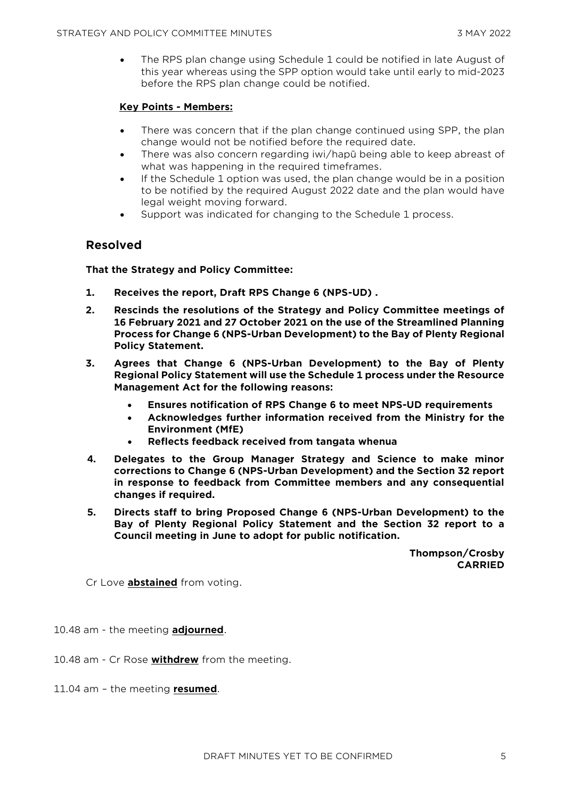• The RPS plan change using Schedule 1 could be notified in late August of this year whereas using the SPP option would take until early to mid-2023 before the RPS plan change could be notified.

#### **Key Points - Members:**

- There was concern that if the plan change continued using SPP, the plan change would not be notified before the required date.
- There was also concern regarding iwi/hapū being able to keep abreast of what was happening in the required timeframes.
- If the Schedule 1 option was used, the plan change would be in a position to be notified by the required August 2022 date and the plan would have legal weight moving forward.
- Support was indicated for changing to the Schedule 1 process.

#### **Resolved**

**That the Strategy and Policy Committee:**

- **1. Receives the report, Draft RPS Change 6 (NPS-UD) .**
- **2. Rescinds the resolutions of the Strategy and Policy Committee meetings of 16 February 2021 and 27 October 2021 on the use of the Streamlined Planning Process for Change 6 (NPS-Urban Development) to the Bay of Plenty Regional Policy Statement.**
- **3. Agrees that Change 6 (NPS-Urban Development) to the Bay of Plenty Regional Policy Statement will use the Schedule 1 process under the Resource Management Act for the following reasons:** 
	- **Ensures notification of RPS Change 6 to meet NPS-UD requirements**
	- **Acknowledges further information received from the Ministry for the Environment (MfE)**
	- **Reflects feedback received from tangata whenua**
- **4. Delegates to the Group Manager Strategy and Science to make minor corrections to Change 6 (NPS-Urban Development) and the Section 32 report in response to feedback from Committee members and any consequential changes if required.**
- **5. Directs staff to bring Proposed Change 6 (NPS-Urban Development) to the Bay of Plenty Regional Policy Statement and the Section 32 report to a Council meeting in June to adopt for public notification.**

**Thompson/Crosby CARRIED**

Cr Love **abstained** from voting.

10.48 am - the meeting **adjourned**.

- 10.48 am Cr Rose **withdrew** from the meeting.
- 11.04 am the meeting **resumed**.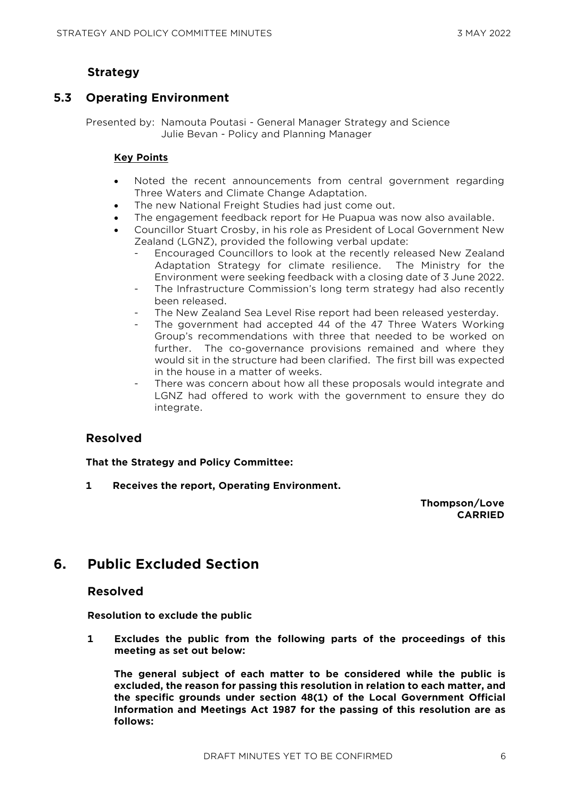## **Strategy**

## **5.3 Operating Environment**

Presented by: Namouta Poutasi - General Manager Strategy and Science Julie Bevan - Policy and Planning Manager

#### **Key Points**

- Noted the recent announcements from central government regarding Three Waters and Climate Change Adaptation.
- The new National Freight Studies had just come out.
- The engagement feedback report for He Puapua was now also available.
- Councillor Stuart Crosby, in his role as President of Local Government New Zealand (LGNZ), provided the following verbal update:
	- Encouraged Councillors to look at the recently released New Zealand Adaptation Strategy for climate resilience. The Ministry for the Environment were seeking feedback with a closing date of 3 June 2022.
	- The Infrastructure Commission's long term strategy had also recently been released.
	- The New Zealand Sea Level Rise report had been released yesterday.
	- The government had accepted 44 of the 47 Three Waters Working Group's recommendations with three that needed to be worked on further. The co-governance provisions remained and where they would sit in the structure had been clarified. The first bill was expected in the house in a matter of weeks.
	- There was concern about how all these proposals would integrate and LGNZ had offered to work with the government to ensure they do integrate.

#### **Resolved**

**That the Strategy and Policy Committee:**

**1 Receives the report, Operating Environment.**

**Thompson/Love CARRIED**

## **6. Public Excluded Section**

#### **Resolved**

**Resolution to exclude the public**

**1 Excludes the public from the following parts of the proceedings of this meeting as set out below:**

**The general subject of each matter to be considered while the public is excluded, the reason for passing this resolution in relation to each matter, and the specific grounds under section 48(1) of the Local Government Official Information and Meetings Act 1987 for the passing of this resolution are as follows:**